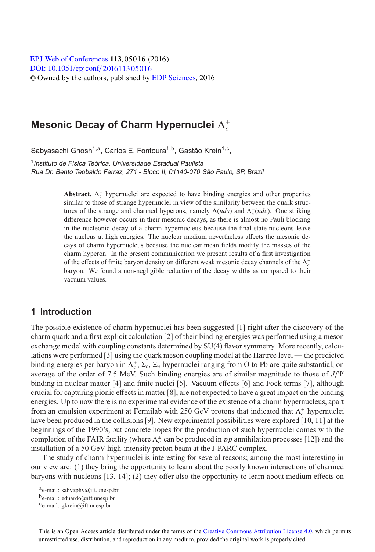[DOI: 10.1051](http://dx.doi.org/10.1051/epjconf/201611305016)/epjconf/201611305016 © Owned by the authors, published by [EDP Sciences,](http://www.edpsciences.org) 2016 **EPJ** Web of [Conferences](http://www.epj-conferences.org) **113**, 05016 (2016)

# **Mesonic Decay of Charm Hypernuclei**  $Λ<sup>+</sup><sub>c</sub>$

Sabyasachi Ghosh<sup>1,a</sup>, Carlos E. Fontoura<sup>1,b</sup>, Gastão Krein<sup>1,c</sup>,

<sup>1</sup> Instituto de Física Teórica, Universidade Estadual Paulista Rua Dr. Bento Teobaldo Ferraz, 271 - Bloco II, 01140-070 São Paulo, SP, Brazil

> **Abstract.**  $\Lambda_c^+$  hypernuclei are expected to have binding energies and other properties similar to those of strange hypernuclei in view of the similarity between the quark strucsimilar to those of strange hypernuclei in view of the similarity between the quark structures of the strange and charmed hyperons, namely  $\Lambda(uds)$  and  $\Lambda_c^+(udc)$ . One striking difference however occurs in their mesonic decays, as there is almost no Pauli blocking in the nucleonic decay of a charm hypernucleus because the final-state nucleons leave the nucleus at high energies. The nuclear medium nevertheless affects the mesonic decays of charm hypernucleus because the nuclear mean fields modify the masses of the charm hyperon. In the present communication we present results of a first investigation of the effects of finite baryon density on different weak mesonic decay channels of the Λ<sup>+</sup><sub>c</sub> baryon. We found a non-negligible reduction of the decay widths as compared to their vacuum values.

### **1 Introduction**

The possible existence of charm hypernuclei has been suggested [1] right after the discovery of the charm quark and a first explicit calculation [2] of their binding energies was performed using a meson exchange model with coupling constants determined by SU(4) flavor symmetry. More recently, calculations were performed [3] using the quark meson coupling model at the Hartree level — the predicted binding energies per baryon in  $\Lambda_c^+$ ,  $\Sigma_c$ ,  $\Xi_c$  hypernuclei ranging from O to Pb are quite substantial, on average of the order of 7.5 MeV. Such binding energies are of similar magnitude to those of *<sup>J</sup>*/<sup>Ψ</sup> binding in nuclear matter [4] and finite nuclei [5]. Vacuum effects [6] and Fock terms [7], although crucial for capturing pionic effects in matter [8], are not expected to have a great impact on the binding energies. Up to now there is no experimental evidence of the existence of a charm hypernucleus, apart from an emulsion experiment at Fermilab with 250 GeV protons that indicated that  $Λ<sub>c</sub><sup>+</sup>$  hypernuclei have been produced in the collisions [9]. New experimental possibilities were explored [10, 11] at the beginnings of the 1990's, but concrete hopes for the production of such hypernuclei comes with the completion of the FAIR facility (where  $\Lambda_c^{\pm}$  can be produced in  $\bar{p}p$  annihilation processes [12]) and the installation of a 50 GeV high-intensity proton beam at the J-PARC complex.

The study of charm hypernuclei is interesting for several reasons; among the most interesting in our view are: (1) they bring the opportunity to learn about the poorly known interactions of charmed baryons with nucleons [13, 14]; (2) they offer also the opportunity to learn about medium effects on

This is an Open Access article distributed under the terms of the Creative Commons Attribution License 4.0, which permits unrestricted use, distribution, and reproduction in any medium, provided the original work is properly cited.

 $a$ e-mail: sabyaphy@ift.unesp.br

be-mail: eduardo@ift.unesp.br

ce-mail: gkrein@ift.unesp.br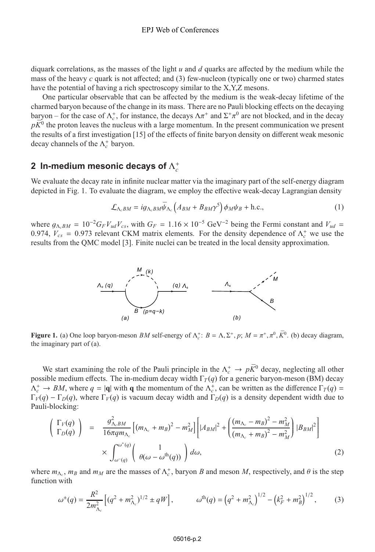diquark correlations, as the masses of the light *u* and *d* quarks are affected by the medium while the mass of the heavy *c* quark is not affected; and (3) few-nucleon (typically one or two) charmed states have the potential of having a rich spectroscopy similar to the X,Y,Z mesons.

One particular observable that can be affected by the medium is the weak-decay lifetime of the charmed baryon because of the change in its mass. There are no Pauli blocking effects on the decaying baryon – for the case of  $\Lambda_c^+$ , for instance, the decays  $\Lambda \pi^+$  and  $\Sigma^+ \pi^0$  are not blocked, and in the decay  $n\overline{K}^0$  the proton leaves the nucleus with a large momentum. In the present communication we presen  $p\overline{K}^0$  the proton leaves the nucleus with a large momentum. In the present communication we present the results of a first investigation [15] of the effects of finite baryon density on different weak mesonic decay channels of the  $Λ<sub>c</sub><sup>+</sup>$  baryon.

## **2** In-medium mesonic decays of  $\Lambda_c^+$

We evaluate the decay rate in infinite nuclear matter via the imaginary part of the self-energy diagram depicted in Fig. 1. To evaluate the diagram, we employ the effective weak-decay Lagrangian density

$$
\mathcal{L}_{\Lambda_cBM} = ig_{\Lambda_cBM} \overline{\psi}_{\Lambda_c} \left( A_{BM} + B_{BM} \gamma^5 \right) \phi_M \psi_B + \text{h.c.},\tag{1}
$$

where  $g_{\Lambda_cBM} = 10^{-2} G_F V_{ud} V_{cs}$ , with  $G_F = 1.16 \times 10^{-5} \text{ GeV}^{-2}$  being the Fermi constant and  $V_{ud} = 0.974$   $V = 0.973$  relevant CKM matrix elements. For the density dependence of  $\Lambda^+$  we use the 0.974,  $V_{cs} = 0.973$  relevant CKM matrix elements. For the density dependence of  $\Lambda_c^+$  we use the results from the OMC model [3]. Finite nuclei can be treated in the local density approximation results from the QMC model [3]. Finite nuclei can be treated in the local density approximation.



**Figure 1.** (a) One loop baryon-meson *BM* self-energy of  $\Lambda_c^+$ :  $B = \Lambda$ ,  $\Sigma^+$ ,  $p$ ;  $M = \pi^+$ ,  $\pi^0$ ,  $\overline{K}^0$ . (b) decay diagram, the imaginary part of (a) the imaginary part of (a).

We start examining the role of the Pauli principle in the  $\Lambda_c^+ \to p\bar{K}^0$  decay, neglecting all other possible medium effects. The in-medium decay width  $\Gamma_T(q)$  for a generic baryon-meson (BM) decay  $\Lambda_c^+ \to BM$ , where  $q = |\mathbf{q}|$  with **q** the momentum of the  $\Lambda_c^+$ , can be written as the difference  $\Gamma_T(q) = \Gamma_T(q) - \Gamma_T(q)$ , where  $\Gamma_{\nu}(q)$  is vacuum decay width and  $\Gamma_T(q)$  is a density dependent width due to Γ*V*(*q*) – Γ<sub>*D*</sub>(*q*), where Γ<sub>*V*</sub>(*q*) is vacuum decay width and Γ<sub>*D*</sub>(*q*) is a density dependent width due to Pauli-blocking:

$$
\begin{pmatrix}\n\Gamma_V(q) \\
\Gamma_D(q)\n\end{pmatrix} = \frac{g_{\Lambda_cBM}^2}{16\pi q m_{\Lambda_c}} \left[ (m_{\Lambda_c} + m_B)^2 - m_M^2 \right] \left[ |A_{BM}|^2 + \left( \frac{(m_{\Lambda_c} - m_B)^2 - m_M^2}{(m_{\Lambda_c} + m_B)^2 - m_M^2} \right) |B_{BM}|^2 \right] \times \int_{\omega^-(q)}^{\omega^+(q)} \left( \frac{1}{\theta(\omega - \omega^{\text{th}}(q))} \right) d\omega,
$$
\n(2)

where  $m_{\Lambda_c}$ ,  $m_B$  and  $m_M$  are the masses of  $\Lambda_c^+$ , baryon *B* and meson *M*, respectively, and  $\theta$  is the step function with function with

$$
\omega^{\pm}(q) = \frac{R^2}{2m_{\Lambda_c}^2} \left[ (q^2 + m_{\Lambda_c}^2)^{1/2} \pm qW \right], \qquad \omega^{\text{th}}(q) = \left( q^2 + m_{\Lambda_c}^2 \right)^{1/2} - \left( k_F^2 + m_B^2 \right)^{1/2}, \qquad (3)
$$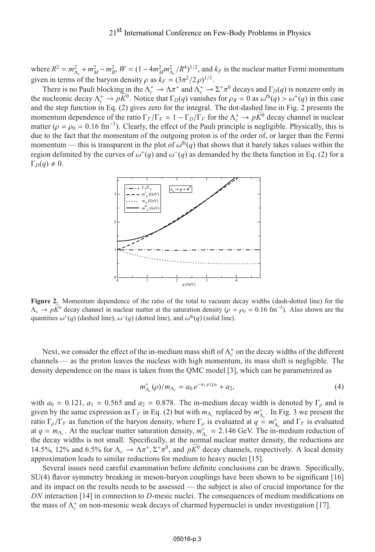where  $R^2 = m_{\Lambda_c}^2 + m_M^2 - m_B^2$ ,  $W = (1 - 4m_M^2m_{\Lambda_c}^2/R^4)^{1/2}$ , and  $k_F$  is the nuclear matter Fermi momentum<br>given in terms of the hervon density a set  $k = (3\pi^2/2, \text{e})^{1/3}$ given in terms of the baryon density  $\rho$  as  $k_F = (3\pi^2/2\rho)^{1/3}$ .<br>There is no Pauli blocking in the  $\Lambda^+ \to \Lambda \pi^+$  and  $\Lambda^+ \to$ 

There is no Pauli blocking in the  $\Lambda_c^+ \to \Lambda \pi^+$  and  $\Lambda_c^+ \to \Sigma^+ \pi^0$  decays and  $\Gamma_D(q)$  is nonzero only in nucleonic decay  $\Lambda^+ \to nK^0$ . Notice that  $\Gamma_D(q)$  vanishes for  $\rho_D = 0$  as  $\omega^{\text{th}}(q) \ge \omega^+(q)$  in this case the nucleonic decay  $\Lambda_c^+ \to p\overline{K}^0$ . Notice that  $\Gamma_D(q)$  vanishes for  $\rho_B = 0$  as  $\omega^{\text{th}}(q) > \omega^+(q)$  in this case<br>and the step function in Eq. (2) gives zero for the integral. The dot-dashed line in Eig. 2 presents t and the step function in Eq. (2) gives zero for the integral. The dot-dashed line in Fig. 2 presents the momentum dependence of the ratio  $\Gamma_T/\Gamma_V = 1 - \Gamma_D/\Gamma_V$  for the  $\Lambda_c^+ \to p\overline{K}^0$  decay channel in nuclear matter  $I_0 = \rho_0 = 0.16$  fm<sup>-3</sup>). Clearly, the effect of the Pauli principle is negligible. Physically, this is matter ( $\rho = \rho_0 = 0.16$  fm<sup>-3</sup>). Clearly, the effect of the Pauli principle is negligible. Physically, this is due to the fact that the momentum of the outgoing proton is of the order of or larger than the Fermi due to the fact that the momentum of the outgoing proton is of the order of, or larger than the Fermi momentum — this is transparent in the plot of  $\omega^{th}(q)$  that shows that it barely takes values within the region delimited by the curves of  $\omega^+(q)$  and  $\omega^-(q)$  as demanded by the theta function in Eq. (2) for a  $\Gamma_D(q) \neq 0.$ 



**Figure 2.** Momentum dependence of the ratio of the total to vacuum decay widths (dash-dotted line) for the  $\Lambda_c \to p\bar{K}^0$  decay channel in nuclear matter at the saturation density ( $\rho = \rho_0 = 0.16$  fm<sup>-3</sup>). Also shown are the quantities  $\omega^+(q)$  (dashed line)  $\omega^-(q)$  (dotted line) and  $\omega^{\text{th}}(q)$  (solid line) quantities  $\omega^+(q)$  (dashed line),  $\omega^-(q)$  (dotted line), and  $\omega^{th}(q)$  (solid line).

Next, we consider the effect of the in-medium mass shift of  $\Lambda_c^+$  on the decay widths of the different channels — as the proton leaves the nucleus with high momentum, its mass shift is negligible. The density dependence on the mass is taken from the QMC model [3], which can be parametrized as

$$
m_{\Lambda_c}^*(\rho)/m_{\Lambda_c} = a_0 e^{-a_1 \rho/\rho_0} + a_2,
$$
\n(4)

with  $a_0 = 0.121$ ,  $a_1 = 0.565$  and  $a_2 = 0.878$ . The in-medium decay width is denoted by  $\Gamma<sub>o</sub>$  and is given by the same expression as  $\Gamma_V$  in Eq. (2) but with  $m_{\Lambda_c}$  replaced by  $m_{\Lambda_c}^*$ . In Fig. 3 we present the ratio  $\Gamma_{\rho}/\Gamma_{V}$  as function of the baryon density, where  $\Gamma_{\rho}$  is evaluated at *q* =  $m_{\Lambda_c}^{*}$  and  $\Gamma_{V}$  is evaluated at *q* = *m*<sub> $\Lambda_c$ </sub>. at  $q = m_{\Lambda_c}$ . At the nuclear matter saturation density,  $m_{\Lambda_c}^* = 2.146$  GeV. The in-medium reduction of the decay widths is not small. Specifically, at the normal nuclear matter density, the reductions are the decay widths is not small. Specifically, at the normal nuclear matter density, the reductions are 14.5%, 12% and 6.5% for  $\Lambda_c \to \Lambda \pi^+$ ,  $\Sigma^+ \pi^0$ , and  $pK^0$  decay channels, respectively. A local density approximation leads to similar reductions for medium to heavy nuclei [15].

Several issues need careful examination before definite conclusions can be drawn. Specifically, SU(4) flavor symmetry breaking in meson-baryon couplings have been shown to be significant [16] and its impact on the results needs to be assessed — the subject is also of crucial importance for the *DN* interaction [14] in connection to *D*-mesic nuclei. The consequences of medium modifications on the mass of  $Λ<sub>c</sub><sup>+</sup>$  on non-mesonic weak decays of charmed hypernuclei is under investigation [17].